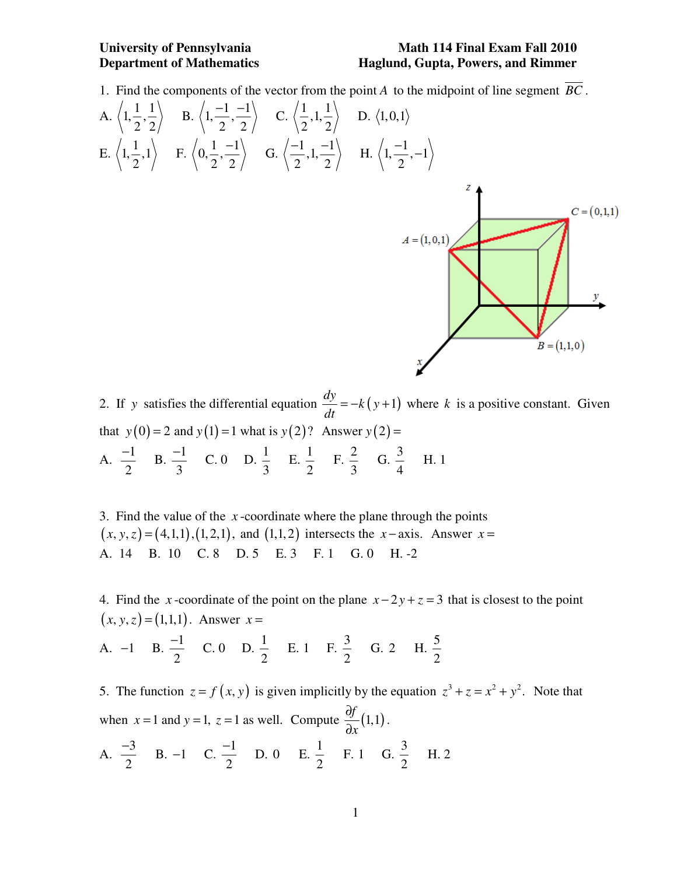## **University of Pennsylvania Math 114 Final Exam Fall 2010 Department of Mathematics Haglund, Gupta, Powers, and Rimmer**

1. Find the components of the vector from the point *A* to the midpoint of line segment *BC* .



2. If *y* satisfies the differential equation  $\frac{dy}{dx} = -k(y+1)$ *dt*  $= -k(y+1)$  where *k* is a positive constant. Given that  $y(0) = 2$  and  $y(1) = 1$  what is  $y(2)$ ? Answer  $y(2) =$ A.  $\frac{-1}{2}$ 2  $\frac{-1}{2}$  B.  $\frac{-1}{2}$ 3  $\frac{-1}{2}$  C. 0 D.  $\frac{1}{2}$ 3  $E. \frac{1}{2}$ 2  $F \cdot \frac{2}{3}$ 3 G.  $\frac{3}{4}$ 4 H. 1

3. Find the value of the *x* -coordinate where the plane through the points  $(x, y, z) = (4,1,1), (1,2,1),$  and  $(1,1,2)$  intersects the *x* − axis. Answer *x* = A. 14 B. 10 C. 8 D. 5 E. 3 F. 1 G. 0 H. -2

4. Find the *x*-coordinate of the point on the plane  $x - 2y + z = 3$  that is closest to the point  $(x, y, z) = (1,1,1)$ . Answer  $x =$ 

A.  $-1$  B.  $\frac{-1}{2}$ 2  $\frac{-1}{2}$  C. 0 D.  $\frac{1}{2}$ 2 E. 1 F.  $\frac{3}{2}$ 2 G. 2 H.  $\frac{5}{2}$ 2

2

2

5. The function  $z = f(x, y)$  is given implicitly by the equation  $z^3 + z = x^2 + y^2$ . Note that when  $x = 1$  and  $y = 1$ ,  $z = 1$  as well. Compute  $\frac{\partial f}{\partial z}(1,1)$ *x* ∂ ∂ . A.  $\frac{-3}{2}$  $\frac{-3}{2}$  B. -1 C.  $\frac{-1}{2}$  $\frac{-1}{2}$  D. 0 E.  $\frac{1}{2}$ F. 1 G.  $\frac{3}{2}$ H. 2

2

2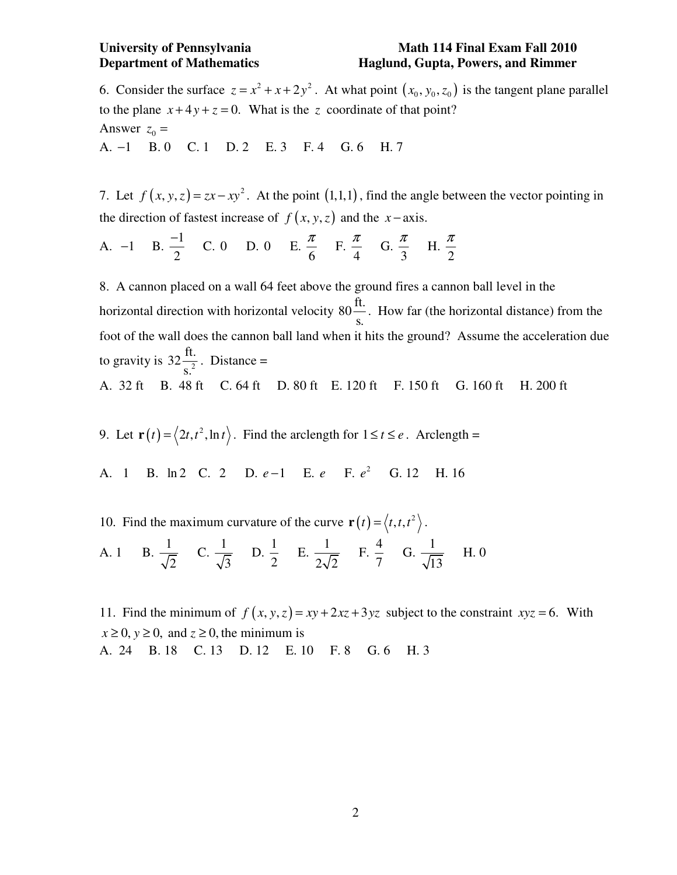### **University of Pennsylvania Math 114 Final Exam Fall 2010 Department of Mathematics Haglund, Gupta, Powers, and Rimmer**

6. Consider the surface  $z = x^2 + x + 2y^2$ . At what point  $(x_0, y_0, z_0)$  is the tangent plane parallel to the plane  $x+4y+z=0$ . What is the z coordinate of that point? Answer  $z_0$  = A. −1 B. 0 C. 1 D. 2 E. 3 F. 4 G. 6 H. 7

7. Let  $f(x, y, z) = zx - xy^2$ . At the point  $(1,1,1)$ , find the angle between the vector pointing in the direction of fastest increase of  $f(x, y, z)$  and the *x* − axis.

A. -1 B. 
$$
\frac{-1}{2}
$$
 C. 0 D. 0 E.  $\frac{\pi}{6}$  F.  $\frac{\pi}{4}$  G.  $\frac{\pi}{3}$  H.  $\frac{\pi}{2}$ 

8. A cannon placed on a wall 64 feet above the ground fires a cannon ball level in the horizontal direction with horizontal velocity  $80\frac{\text{ft.}}{}$ s. . How far (the horizontal distance) from the foot of the wall does the cannon ball land when it hits the ground? Assume the acceleration due to gravity is  $32 \frac{\text{ft.}}{\text{s}^2}$ s. . Distance = A. 32 ft B. 48 ft C. 64 ft D. 80 ft E. 120 ft F. 150 ft G. 160 ft H. 200 ft

- 9. Let  $\mathbf{r}(t) = \langle 2t, t^2, \ln t \rangle$ . Find the arclength for  $1 \le t \le e$ . Arclength =
- A. 1 B. ln 2 C. 2 D. *e*−1 E. *e* F. *e*<sup>2</sup> G. 12 H. 16
- 10. Find the maximum curvature of the curve  $\mathbf{r}(t) = \langle t, t, t^2 \rangle$ . A. 1 B.  $\frac{1}{6}$ 2 C.  $\frac{1}{t}$ 3 D.  $\frac{1}{2}$ 2  $E. 2\sqrt{2}$  $F. \frac{4}{7}$ 7 G.  $\frac{1}{\sqrt{2}}$ 13 H. 0

11. Find the minimum of  $f(x, y, z) = xy + 2xz + 3yz$  subject to the constraint  $xyz = 6$ . With  $x \ge 0$ ,  $y \ge 0$ , and  $z \ge 0$ , the minimum is A. 24 B. 18 C. 13 D. 12 E. 10 F. 8 G. 6 H. 3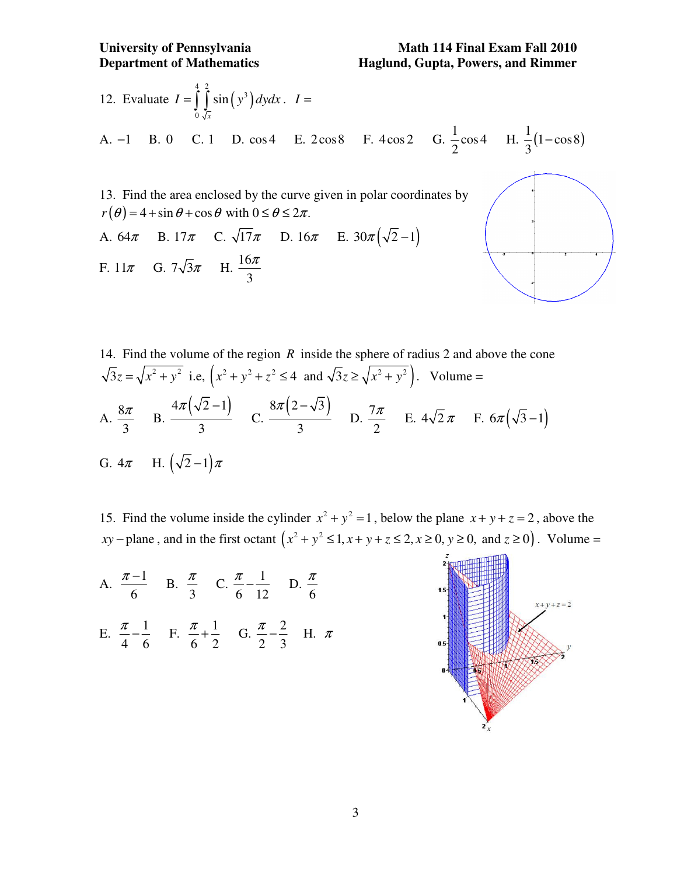12. Evaluate 
$$
I = \int_{0}^{4} \int_{\sqrt{x}}^{2} \sin(y^3) dy dx
$$
.  $I =$   
\nA. -1 B. 0 C. 1 D. cos4 E. 2 cos8 F. 4 cos2 G.  $\frac{1}{2}$  cos4 H.  $\frac{1}{3}$ (1 - cos8)  
\n13. Find the area enclosed by the curve given in polar coordinates by  
\n $r(\theta) = 4 + \sin \theta + \cos \theta$  with  $0 \le \theta \le 2\pi$ .  
\nA. 64 $\pi$  B. 17 $\pi$  C.  $\sqrt{17}\pi$  D. 16 $\pi$  E.  $30\pi(\sqrt{2}-1)$   
\nF. 11 $\pi$  G.  $7\sqrt{3}\pi$  H.  $\frac{16\pi}{3}$ 

14. Find the volume of the region *R* inside the sphere of radius 2 and above the cone  
\n
$$
\sqrt{3}z = \sqrt{x^2 + y^2}
$$
 i.e,  $(x^2 + y^2 + z^2 \le 4$  and  $\sqrt{3}z \ge \sqrt{x^2 + y^2}$ ). Volume =  
\nA.  $\frac{8\pi}{3}$  B.  $\frac{4\pi(\sqrt{2}-1)}{3}$  C.  $\frac{8\pi(2-\sqrt{3})}{3}$  D.  $\frac{7\pi}{2}$  E.  $4\sqrt{2}\pi$  F.  $6\pi(\sqrt{3}-1)$   
\nG.  $4\pi$  H.  $(\sqrt{2}-1)\pi$ 

15. Find the volume inside the cylinder  $x^2 + y^2 = 1$ , below the plane  $x + y + z = 2$ , above the  $xy$  – plane, and in the first octant  $(x^2 + y^2 \leq 1, x + y + z \leq 2, x \geq 0, y \geq 0, x \leq 0)$ . Volume =